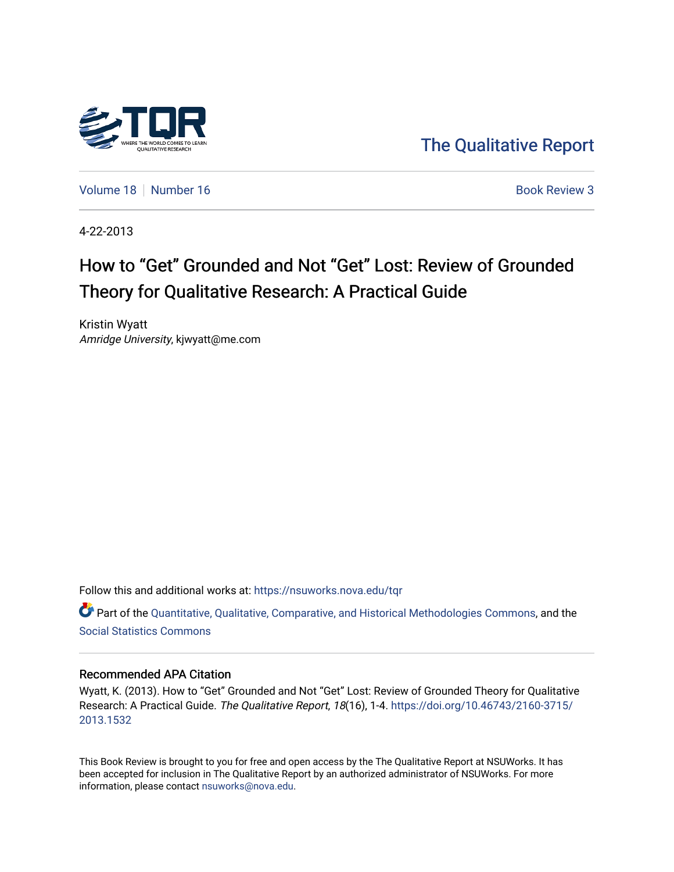

[The Qualitative Report](https://nsuworks.nova.edu/tqr) 

[Volume 18](https://nsuworks.nova.edu/tqr/vol18) [Number 16](https://nsuworks.nova.edu/tqr/vol18/iss16) **Book Review 3** Book Review 3

4-22-2013

# How to "Get" Grounded and Not "Get" Lost: Review of Grounded Theory for Qualitative Research: A Practical Guide

Kristin Wyatt Amridge University, kjwyatt@me.com

Follow this and additional works at: [https://nsuworks.nova.edu/tqr](https://nsuworks.nova.edu/tqr?utm_source=nsuworks.nova.edu%2Ftqr%2Fvol18%2Fiss16%2F3&utm_medium=PDF&utm_campaign=PDFCoverPages) 

Part of the [Quantitative, Qualitative, Comparative, and Historical Methodologies Commons,](http://network.bepress.com/hgg/discipline/423?utm_source=nsuworks.nova.edu%2Ftqr%2Fvol18%2Fiss16%2F3&utm_medium=PDF&utm_campaign=PDFCoverPages) and the [Social Statistics Commons](http://network.bepress.com/hgg/discipline/1275?utm_source=nsuworks.nova.edu%2Ftqr%2Fvol18%2Fiss16%2F3&utm_medium=PDF&utm_campaign=PDFCoverPages) 

#### Recommended APA Citation

Wyatt, K. (2013). How to "Get" Grounded and Not "Get" Lost: Review of Grounded Theory for Qualitative Research: A Practical Guide. The Qualitative Report, 18(16), 1-4. [https://doi.org/10.46743/2160-3715/](https://doi.org/10.46743/2160-3715/2013.1532) [2013.1532](https://doi.org/10.46743/2160-3715/2013.1532) 

This Book Review is brought to you for free and open access by the The Qualitative Report at NSUWorks. It has been accepted for inclusion in The Qualitative Report by an authorized administrator of NSUWorks. For more information, please contact [nsuworks@nova.edu.](mailto:nsuworks@nova.edu)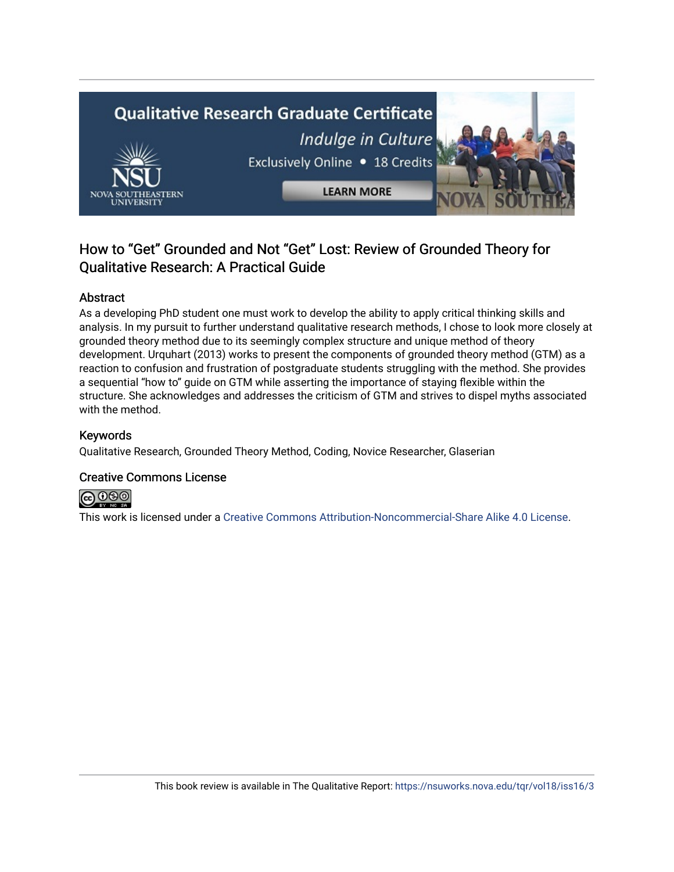

## How to "Get" Grounded and Not "Get" Lost: Review of Grounded Theory for Qualitative Research: A Practical Guide

### Abstract

As a developing PhD student one must work to develop the ability to apply critical thinking skills and analysis. In my pursuit to further understand qualitative research methods, I chose to look more closely at grounded theory method due to its seemingly complex structure and unique method of theory development. Urquhart (2013) works to present the components of grounded theory method (GTM) as a reaction to confusion and frustration of postgraduate students struggling with the method. She provides a sequential "how to" guide on GTM while asserting the importance of staying flexible within the structure. She acknowledges and addresses the criticism of GTM and strives to dispel myths associated with the method.

### Keywords

Qualitative Research, Grounded Theory Method, Coding, Novice Researcher, Glaserian

## Creative Commons License



This work is licensed under a [Creative Commons Attribution-Noncommercial-Share Alike 4.0 License](https://creativecommons.org/licenses/by-nc-sa/4.0/).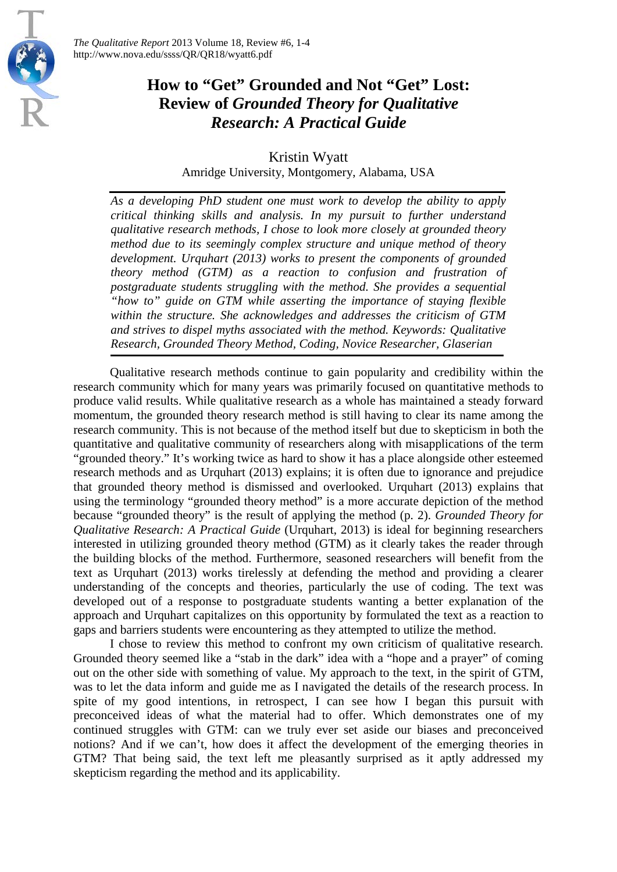

## **How to "Get" Grounded and Not "Get" Lost: Review of** *Grounded Theory for Qualitative Research: A Practical Guide*

Kristin Wyatt Amridge University, Montgomery, Alabama, USA

*As a developing PhD student one must work to develop the ability to apply critical thinking skills and analysis. In my pursuit to further understand qualitative research methods, I chose to look more closely at grounded theory method due to its seemingly complex structure and unique method of theory development. Urquhart (2013) works to present the components of grounded theory method (GTM) as a reaction to confusion and frustration of postgraduate students struggling with the method. She provides a sequential "how to" guide on GTM while asserting the importance of staying flexible within the structure. She acknowledges and addresses the criticism of GTM and strives to dispel myths associated with the method. Keywords: Qualitative Research, Grounded Theory Method, Coding, Novice Researcher, Glaserian*

Qualitative research methods continue to gain popularity and credibility within the research community which for many years was primarily focused on quantitative methods to produce valid results. While qualitative research as a whole has maintained a steady forward momentum, the grounded theory research method is still having to clear its name among the research community. This is not because of the method itself but due to skepticism in both the quantitative and qualitative community of researchers along with misapplications of the term "grounded theory." It's working twice as hard to show it has a place alongside other esteemed research methods and as Urquhart (2013) explains; it is often due to ignorance and prejudice that grounded theory method is dismissed and overlooked. Urquhart (2013) explains that using the terminology "grounded theory method" is a more accurate depiction of the method because "grounded theory" is the result of applying the method (p. 2). *Grounded Theory for Qualitative Research: A Practical Guide* (Urquhart, 2013) is ideal for beginning researchers interested in utilizing grounded theory method (GTM) as it clearly takes the reader through the building blocks of the method. Furthermore, seasoned researchers will benefit from the text as Urquhart (2013) works tirelessly at defending the method and providing a clearer understanding of the concepts and theories, particularly the use of coding. The text was developed out of a response to postgraduate students wanting a better explanation of the approach and Urquhart capitalizes on this opportunity by formulated the text as a reaction to gaps and barriers students were encountering as they attempted to utilize the method.

I chose to review this method to confront my own criticism of qualitative research. Grounded theory seemed like a "stab in the dark" idea with a "hope and a prayer" of coming out on the other side with something of value. My approach to the text, in the spirit of GTM, was to let the data inform and guide me as I navigated the details of the research process. In spite of my good intentions, in retrospect, I can see how I began this pursuit with preconceived ideas of what the material had to offer. Which demonstrates one of my continued struggles with GTM: can we truly ever set aside our biases and preconceived notions? And if we can't, how does it affect the development of the emerging theories in GTM? That being said, the text left me pleasantly surprised as it aptly addressed my skepticism regarding the method and its applicability.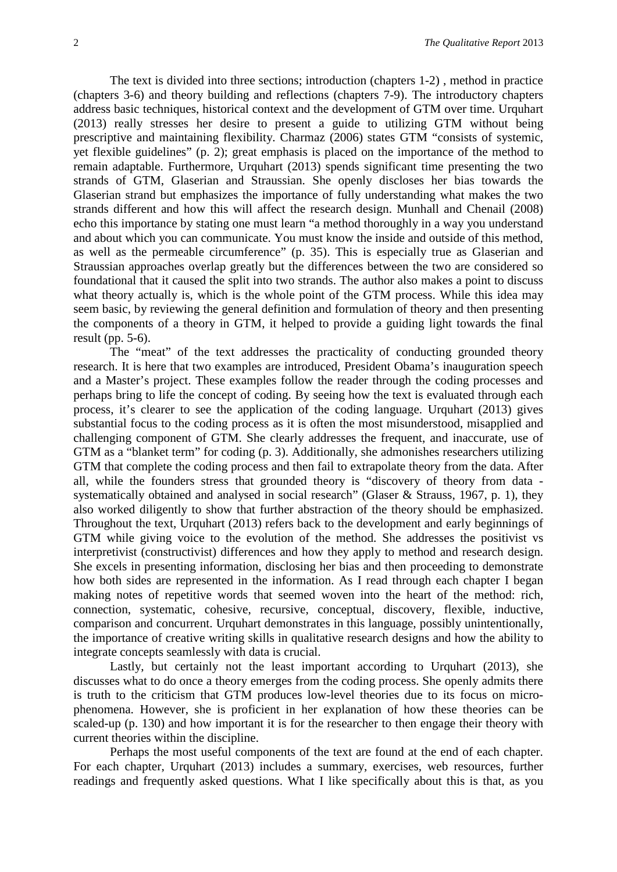The text is divided into three sections; introduction (chapters 1-2) , method in practice (chapters 3-6) and theory building and reflections (chapters 7-9). The introductory chapters address basic techniques, historical context and the development of GTM over time. Urquhart (2013) really stresses her desire to present a guide to utilizing GTM without being prescriptive and maintaining flexibility. Charmaz (2006) states GTM "consists of systemic, yet flexible guidelines" (p. 2); great emphasis is placed on the importance of the method to remain adaptable. Furthermore, Urquhart (2013) spends significant time presenting the two strands of GTM, Glaserian and Straussian. She openly discloses her bias towards the Glaserian strand but emphasizes the importance of fully understanding what makes the two strands different and how this will affect the research design. Munhall and Chenail (2008) echo this importance by stating one must learn "a method thoroughly in a way you understand and about which you can communicate. You must know the inside and outside of this method, as well as the permeable circumference" (p. 35). This is especially true as Glaserian and Straussian approaches overlap greatly but the differences between the two are considered so foundational that it caused the split into two strands. The author also makes a point to discuss what theory actually is, which is the whole point of the GTM process. While this idea may seem basic, by reviewing the general definition and formulation of theory and then presenting the components of a theory in GTM, it helped to provide a guiding light towards the final result (pp. 5-6).

The "meat" of the text addresses the practicality of conducting grounded theory research. It is here that two examples are introduced, President Obama's inauguration speech and a Master's project. These examples follow the reader through the coding processes and perhaps bring to life the concept of coding. By seeing how the text is evaluated through each process, it's clearer to see the application of the coding language. Urquhart (2013) gives substantial focus to the coding process as it is often the most misunderstood, misapplied and challenging component of GTM. She clearly addresses the frequent, and inaccurate, use of GTM as a "blanket term" for coding (p. 3). Additionally, she admonishes researchers utilizing GTM that complete the coding process and then fail to extrapolate theory from the data. After all, while the founders stress that grounded theory is "discovery of theory from data systematically obtained and analysed in social research" (Glaser & Strauss, 1967, p. 1), they also worked diligently to show that further abstraction of the theory should be emphasized. Throughout the text, Urquhart (2013) refers back to the development and early beginnings of GTM while giving voice to the evolution of the method. She addresses the positivist vs interpretivist (constructivist) differences and how they apply to method and research design. She excels in presenting information, disclosing her bias and then proceeding to demonstrate how both sides are represented in the information. As I read through each chapter I began making notes of repetitive words that seemed woven into the heart of the method: rich, connection, systematic, cohesive, recursive, conceptual, discovery, flexible, inductive, comparison and concurrent. Urquhart demonstrates in this language, possibly unintentionally, the importance of creative writing skills in qualitative research designs and how the ability to integrate concepts seamlessly with data is crucial.

Lastly, but certainly not the least important according to Urquhart (2013), she discusses what to do once a theory emerges from the coding process. She openly admits there is truth to the criticism that GTM produces low-level theories due to its focus on microphenomena. However, she is proficient in her explanation of how these theories can be scaled-up (p. 130) and how important it is for the researcher to then engage their theory with current theories within the discipline.

Perhaps the most useful components of the text are found at the end of each chapter. For each chapter, Urquhart (2013) includes a summary, exercises, web resources, further readings and frequently asked questions. What I like specifically about this is that, as you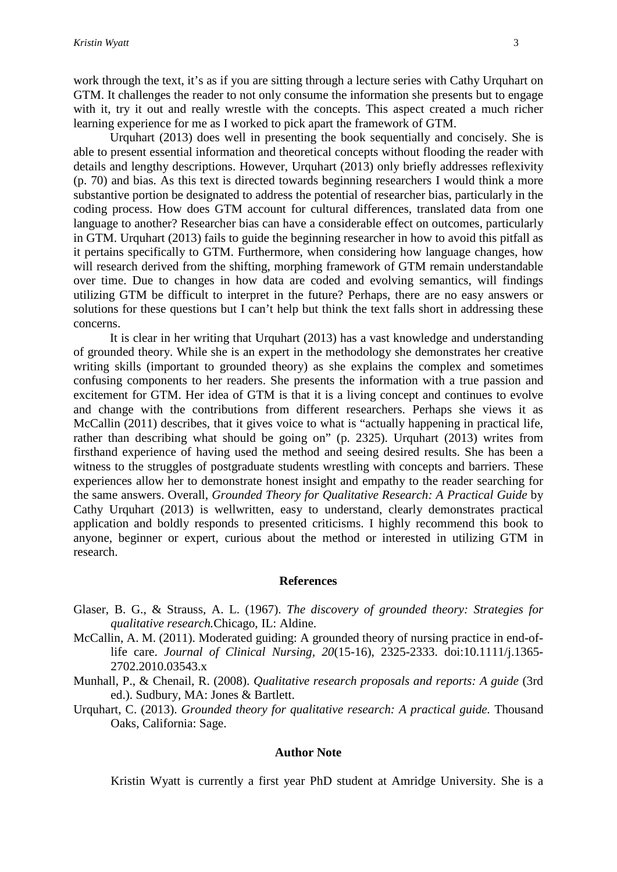work through the text, it's as if you are sitting through a lecture series with Cathy Urquhart on GTM. It challenges the reader to not only consume the information she presents but to engage with it, try it out and really wrestle with the concepts. This aspect created a much richer learning experience for me as I worked to pick apart the framework of GTM.

Urquhart (2013) does well in presenting the book sequentially and concisely. She is able to present essential information and theoretical concepts without flooding the reader with details and lengthy descriptions. However, Urquhart (2013) only briefly addresses reflexivity (p. 70) and bias. As this text is directed towards beginning researchers I would think a more substantive portion be designated to address the potential of researcher bias, particularly in the coding process. How does GTM account for cultural differences, translated data from one language to another? Researcher bias can have a considerable effect on outcomes, particularly in GTM. Urquhart (2013) fails to guide the beginning researcher in how to avoid this pitfall as it pertains specifically to GTM. Furthermore, when considering how language changes, how will research derived from the shifting, morphing framework of GTM remain understandable over time. Due to changes in how data are coded and evolving semantics, will findings utilizing GTM be difficult to interpret in the future? Perhaps, there are no easy answers or solutions for these questions but I can't help but think the text falls short in addressing these concerns.

It is clear in her writing that Urquhart (2013) has a vast knowledge and understanding of grounded theory. While she is an expert in the methodology she demonstrates her creative writing skills (important to grounded theory) as she explains the complex and sometimes confusing components to her readers. She presents the information with a true passion and excitement for GTM. Her idea of GTM is that it is a living concept and continues to evolve and change with the contributions from different researchers. Perhaps she views it as McCallin (2011) describes, that it gives voice to what is "actually happening in practical life, rather than describing what should be going on" (p. 2325). Urquhart (2013) writes from firsthand experience of having used the method and seeing desired results. She has been a witness to the struggles of postgraduate students wrestling with concepts and barriers. These experiences allow her to demonstrate honest insight and empathy to the reader searching for the same answers. Overall, *Grounded Theory for Qualitative Research: A Practical Guide* by Cathy Urquhart (2013) is wellwritten, easy to understand, clearly demonstrates practical application and boldly responds to presented criticisms. I highly recommend this book to anyone, beginner or expert, curious about the method or interested in utilizing GTM in research.

#### **References**

- Glaser, B. G., & Strauss, A. L. (1967). *The discovery of grounded theory: Strategies for qualitative research.*Chicago, IL: Aldine.
- McCallin, A. M. (2011). Moderated guiding: A grounded theory of nursing practice in end-oflife care. *Journal of Clinical Nursing, 20*(15-16), 2325-2333. doi:10.1111/j.1365- 2702.2010.03543.x
- Munhall, P., & Chenail, R. (2008). *Qualitative research proposals and reports: A guide* (3rd ed.). Sudbury, MA: Jones & Bartlett.
- Urquhart, C. (2013). *Grounded theory for qualitative research: A practical guide.* Thousand Oaks, California: Sage.

#### **Author Note**

Kristin Wyatt is currently a first year PhD student at Amridge University. She is a